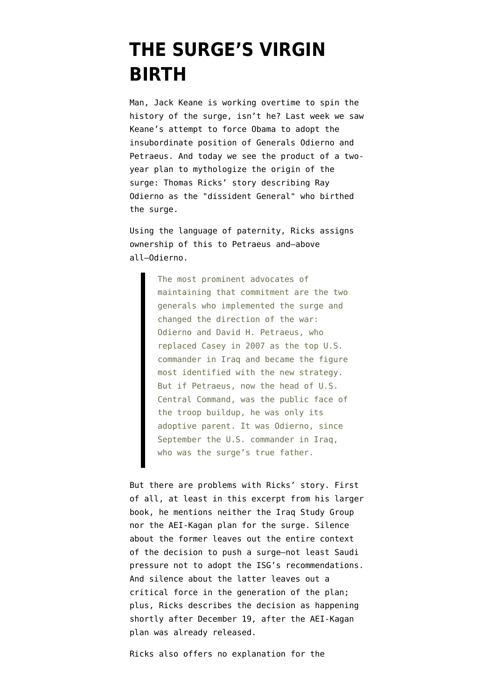## **[THE SURGE'S VIRGIN](https://www.emptywheel.net/2009/02/08/the-surges-virgin-birth/) [BIRTH](https://www.emptywheel.net/2009/02/08/the-surges-virgin-birth/)**

Man, Jack Keane is working overtime to spin the history of the surge, isn't he? Last week we saw [Keane's attempt](http://emptywheel.firedoglake.com/2009/02/03/is-cheney-behind-the-attack-on-obamas-plans-to-withdraw-from-iraq/) to force Obama to adopt the insubordinate position of Generals Odierno and Petraeus. And today we see the product of a twoyear plan to mythologize the origin of the surge: [Thomas Ricks' story](http://www.washingtonpost.com/wp-dyn/content/article/2009/02/07/AR2009020702153_pf.html) describing Ray Odierno as the "dissident General" who birthed the surge.

Using the language of paternity, Ricks assigns ownership of this to Petraeus and–above all–Odierno.

> The most prominent advocates of maintaining that commitment are the two generals who implemented the surge and changed the direction of the war: Odierno and David H. Petraeus, who replaced Casey in 2007 as the top U.S. commander in Iraq and became the figure most identified with the new strategy. But if Petraeus, now the head of U.S. Central Command, was the public face of the troop buildup, he was only its adoptive parent. It was Odierno, since September the U.S. commander in Iraq, who was the surge's true father.

But there are problems with Ricks' story. First of all, at least in this excerpt from his larger book, he mentions neither the Iraq Study Group nor the [AEI-Kagan plan](http://turcopolier.typepad.com/sic_semper_tyrannis/files/200612141_choosingvictory6.pdf) for the surge. Silence about the former leaves out the entire context of the decision to push a surge–not least [Saudi](http://www.washingtonpost.com/wp-dyn/content/article/2006/12/22/AR2006122201474_2.html) [pressure](http://www.washingtonpost.com/wp-dyn/content/article/2006/12/22/AR2006122201474_2.html) not to adopt the ISG's recommendations. And silence about the latter leaves out a critical force in the generation of the plan; plus, Ricks describes the decision as happening shortly after December 19, after the AEI-Kagan plan was already released.

Ricks also offers no explanation for the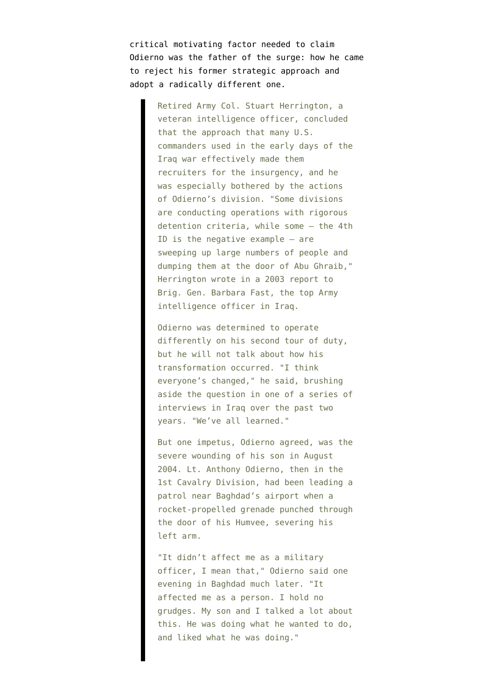critical motivating factor needed to claim Odierno was the father of the surge: how he came to reject his former strategic approach and adopt a radically different one.

> Retired Army Col. Stuart Herrington, a veteran intelligence officer, concluded that the approach that many U.S. commanders used in the early days of the Iraq war effectively made them recruiters for the insurgency, and he was especially bothered by the actions of Odierno's division. "Some divisions are conducting operations with rigorous detention criteria, while some — the 4th ID is the negative example — are sweeping up large numbers of people and dumping them at the door of Abu Ghraib," Herrington wrote in a 2003 report to Brig. Gen. Barbara Fast, the top Army intelligence officer in Iraq.

> Odierno was determined to operate differently on his second tour of duty, but he will not talk about how his transformation occurred. "I think everyone's changed," he said, brushing aside the question in one of a series of interviews in Iraq over the past two years. "We've all learned."

> But one impetus, Odierno agreed, was the severe wounding of his son in August 2004. Lt. Anthony Odierno, then in the 1st Cavalry Division, had been leading a patrol near Baghdad's airport when a rocket-propelled grenade punched through the door of his Humvee, severing his left arm.

> "It didn't affect me as a military officer, I mean that," Odierno said one evening in Baghdad much later. "It affected me as a person. I hold no grudges. My son and I talked a lot about this. He was doing what he wanted to do, and liked what he was doing."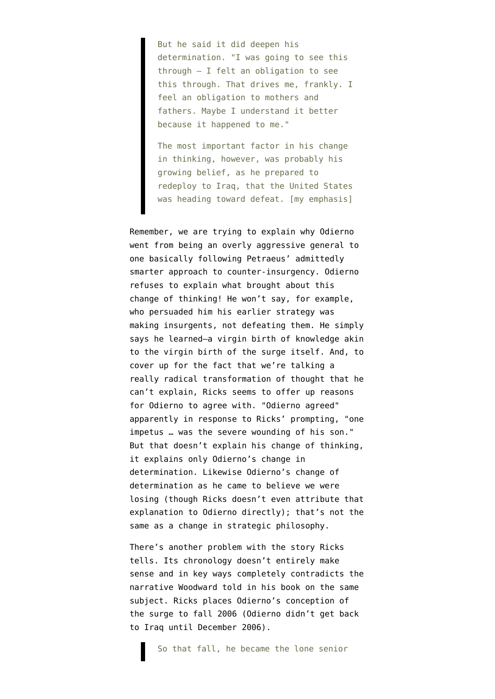But he said it did deepen his determination. "I was going to see this through — I felt an obligation to see this through. That drives me, frankly. I feel an obligation to mothers and fathers. Maybe I understand it better because it happened to me."

The most important factor in his change in thinking, however, was probably his growing belief, as he prepared to redeploy to Iraq, that the United States was heading toward defeat. [my emphasis]

Remember, we are trying to explain why Odierno went from being an overly aggressive general to one basically following Petraeus' admittedly smarter approach to counter-insurgency. Odierno refuses to explain what brought about this change of thinking! He won't say, for example, who persuaded him his earlier strategy was making insurgents, not defeating them. He simply says he learned–a virgin birth of knowledge akin to the virgin birth of the surge itself. And, to cover up for the fact that we're talking a really radical transformation of thought that he can't explain, Ricks seems to offer up reasons for Odierno to agree with. "Odierno agreed" apparently in response to Ricks' prompting, "one impetus … was the severe wounding of his son." But that doesn't explain his change of thinking, it explains only Odierno's change in determination. Likewise Odierno's change of determination as he came to believe we were losing (though Ricks doesn't even attribute that explanation to Odierno directly); that's not the same as a change in strategic philosophy.

There's another problem with the story Ricks tells. Its chronology doesn't entirely make sense and in key ways completely contradicts the narrative Woodward told in his book on the same subject. Ricks places Odierno's conception of the surge to fall 2006 (Odierno [didn't get back](http://en.wikipedia.org/wiki/Ray_Odierno) to Iraq until December 2006).

So that fall, he became the lone senior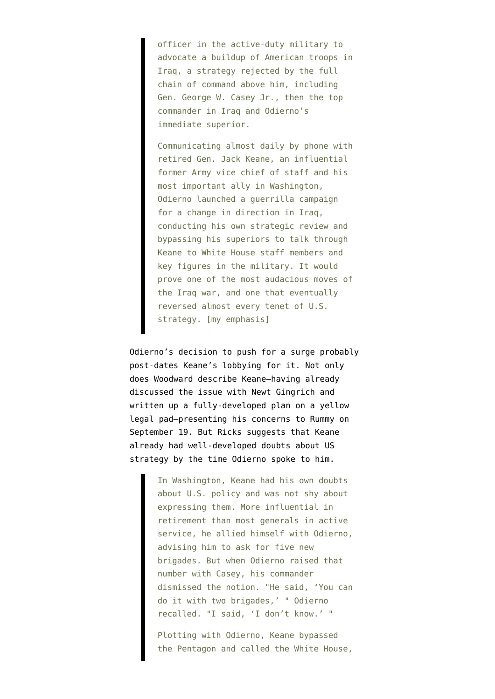officer in the active-duty military to advocate a buildup of American troops in Iraq, a strategy rejected by the full chain of command above him, including Gen. George W. Casey Jr., then the top commander in Iraq and Odierno's immediate superior.

Communicating almost daily by phone with retired Gen. Jack Keane, an influential former Army vice chief of staff and his most important ally in Washington, Odierno launched a guerrilla campaign for a change in direction in Iraq, conducting his own strategic review and bypassing his superiors to talk through Keane to White House staff members and key figures in the military. It would prove one of the most audacious moves of the Iraq war, and one that eventually reversed almost every tenet of U.S. strategy. [my emphasis]

Odierno's decision to push for a surge probably post-dates Keane's lobbying for it. Not only does Woodward describe Keane–having already discussed the issue with Newt Gingrich and written up a fully-developed plan on a yellow legal pad–presenting his concerns to Rummy on September 19. But Ricks suggests that Keane already had well-developed doubts about US strategy by the time Odierno spoke to him.

> In Washington, Keane had his own doubts about U.S. policy and was not shy about expressing them. More influential in retirement than most generals in active service, he allied himself with Odierno, advising him to ask for five new brigades. But when Odierno raised that number with Casey, his commander dismissed the notion. "He said, 'You can do it with two brigades,' " Odierno recalled. "I said, 'I don't know.' "

> Plotting with Odierno, Keane bypassed the Pentagon and called the White House,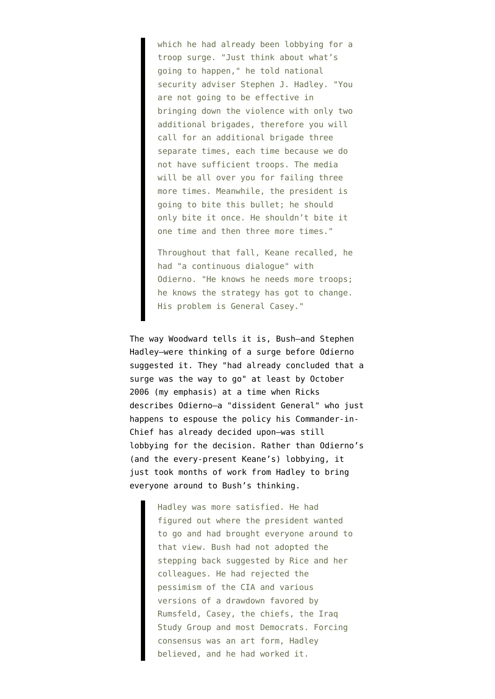which he had already been lobbying for a troop surge. "Just think about what's going to happen," he told national security adviser Stephen J. Hadley. "You are not going to be effective in bringing down the violence with only two additional brigades, therefore you will call for an additional brigade three separate times, each time because we do not have sufficient troops. The media will be all over you for failing three more times. Meanwhile, the president is going to bite this bullet; he should only bite it once. He shouldn't bite it one time and then three more times."

Throughout that fall, Keane recalled, he had "a continuous dialogue" with Odierno. "He knows he needs more troops; he knows the strategy has got to change. His problem is General Casey."

The way [Woodward tells it is](http://firedoglake.com/2008/09/23/fdl-book-salon-welcomes-bob-woodward-author-of-the-war-within/), Bush–and Stephen Hadley–were thinking of a surge before Odierno suggested it. They "had already concluded that a surge was the way to go" at least by October 2006 (my emphasis) at a time when Ricks describes Odierno–a "dissident General" who just happens to espouse the policy his Commander-in-Chief has already decided upon–was still lobbying for the decision. Rather than Odierno's (and the every-present Keane's) lobbying, it just took months of work from Hadley to bring everyone around to Bush's thinking.

> Hadley was more satisfied. He had figured out where the president wanted to go and had brought everyone around to that view. Bush had not adopted the stepping back suggested by Rice and her colleagues. He had rejected the pessimism of the CIA and various versions of a drawdown favored by Rumsfeld, Casey, the chiefs, the Iraq Study Group and most Democrats. Forcing consensus was an art form, Hadley believed, and he had worked it.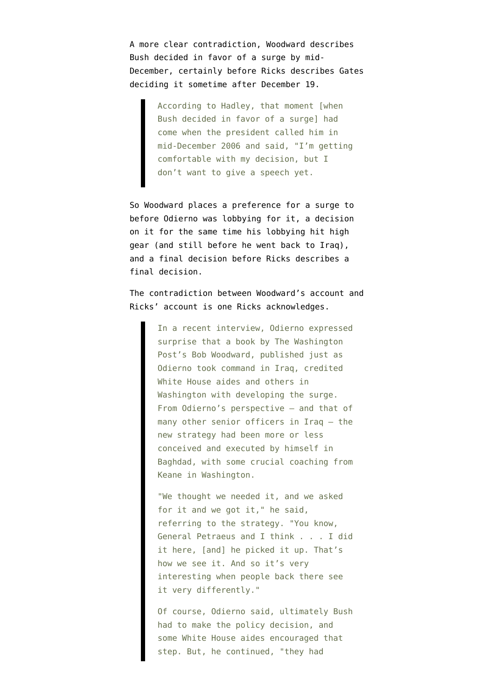A more clear contradiction, Woodward describes Bush decided in favor of a surge by mid-December, certainly before Ricks describes Gates deciding it sometime after December 19.

> According to Hadley, that moment [when Bush decided in favor of a surge] had come when the president called him in mid-December 2006 and said, "I'm getting comfortable with my decision, but I don't want to give a speech yet.

So Woodward places a preference for a surge to before Odierno was lobbying for it, a decision on it for the same time his lobbying hit high gear (and still before he went back to Iraq), and a final decision before Ricks describes a final decision.

The contradiction between Woodward's account and Ricks' account is one Ricks acknowledges.

> In a recent interview, Odierno expressed surprise that a book by The Washington Post's Bob Woodward, published just as Odierno took command in Iraq, credited White House aides and others in Washington with developing the surge. From Odierno's perspective — and that of many other senior officers in Iraq — the new strategy had been more or less conceived and executed by himself in Baghdad, with some crucial coaching from Keane in Washington.

> "We thought we needed it, and we asked for it and we got it," he said, referring to the strategy. "You know, General Petraeus and I think . . . I did it here, [and] he picked it up. That's how we see it. And so it's very interesting when people back there see it very differently."

> Of course, Odierno said, ultimately Bush had to make the policy decision, and some White House aides encouraged that step. But, he continued, "they had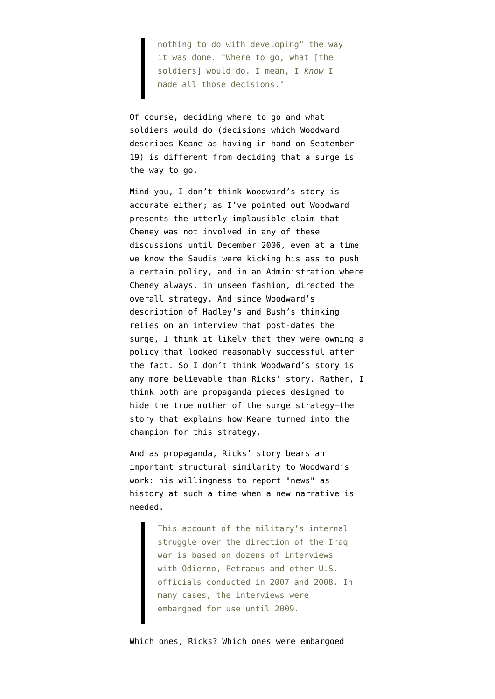nothing to do with developing" the way it was done. "Where to go, what [the soldiers] would do. I mean, I *know* I made all those decisions."

Of course, deciding where to go and what soldiers would do (decisions which Woodward describes Keane as having in hand on September 19) is different from deciding that a surge is the way to go.

Mind you, I don't think Woodward's story is accurate either; as I've [pointed out](http://firedoglake.com/2008/09/23/fdl-book-salon-welcomes-bob-woodward-author-of-the-war-within/) Woodward presents the utterly implausible claim that Cheney was not involved in any of these discussions until December 2006, even at a time we know the Saudis were kicking his ass to push a certain policy, and in an Administration where Cheney always, in unseen fashion, directed the overall strategy. And since Woodward's description of Hadley's and Bush's thinking relies on an interview that post-dates the surge, I think it likely that they were owning a policy that looked reasonably successful after the fact. So I don't think Woodward's story is any more believable than Ricks' story. Rather, I think both are propaganda pieces designed to hide the true mother of the surge strategy–the story that explains how Keane turned into the champion for this strategy.

And as propaganda, Ricks' story bears an important structural similarity to Woodward's work: his willingness to report "news" as history at such a time when a new narrative is needed.

> This account of the military's internal struggle over the direction of the Iraq war is based on dozens of interviews with Odierno, Petraeus and other U.S. officials conducted in 2007 and 2008. In many cases, the interviews were embargoed for use until 2009.

Which ones, Ricks? Which ones were embargoed